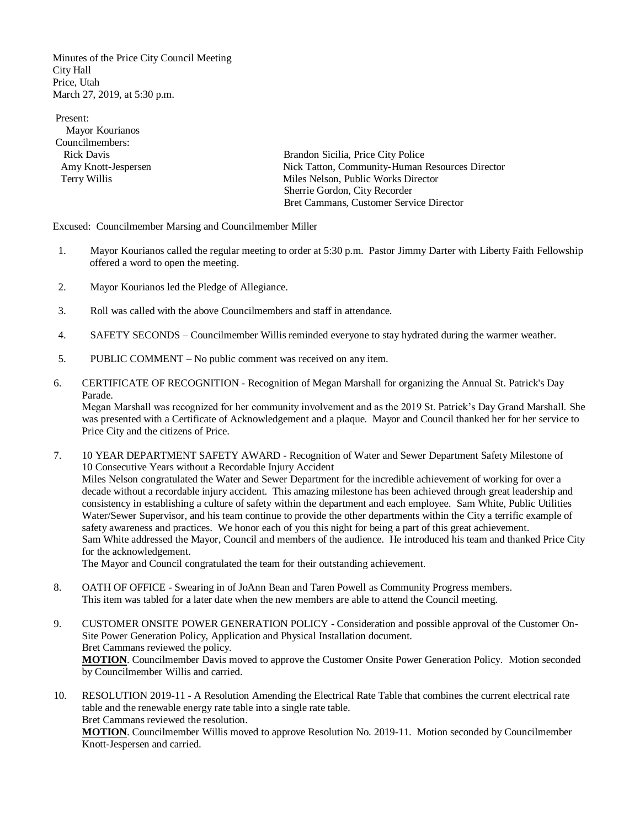Minutes of the Price City Council Meeting City Hall Price, Utah March 27, 2019, at 5:30 p.m.

Present: Mayor Kourianos Councilmembers:

 Rick Davis Brandon Sicilia, Price City Police Amy Knott-Jespersen<br>
Terry Willis<br>
Terry Willis Nelson, Public Works Director<br>
Miles Nelson, Public Works Director Miles Nelson, Public Works Director Sherrie Gordon, City Recorder Bret Cammans, Customer Service Director

Excused: Councilmember Marsing and Councilmember Miller

- 1. Mayor Kourianos called the regular meeting to order at 5:30 p.m. Pastor Jimmy Darter with Liberty Faith Fellowship offered a word to open the meeting.
- 2. Mayor Kourianos led the Pledge of Allegiance.
- 3. Roll was called with the above Councilmembers and staff in attendance.
- 4. SAFETY SECONDS Councilmember Willis reminded everyone to stay hydrated during the warmer weather.
- 5. PUBLIC COMMENT No public comment was received on any item.
- 6. CERTIFICATE OF RECOGNITION Recognition of Megan Marshall for organizing the Annual St. Patrick's Day Parade.

Megan Marshall was recognized for her community involvement and as the 2019 St. Patrick's Day Grand Marshall. She was presented with a Certificate of Acknowledgement and a plaque. Mayor and Council thanked her for her service to Price City and the citizens of Price.

7. 10 YEAR DEPARTMENT SAFETY AWARD - Recognition of Water and Sewer Department Safety Milestone of 10 Consecutive Years without a Recordable Injury Accident Miles Nelson congratulated the Water and Sewer Department for the incredible achievement of working for over a decade without a recordable injury accident. This amazing milestone has been achieved through great leadership and consistency in establishing a culture of safety within the department and each employee. Sam White, Public Utilities Water/Sewer Supervisor, and his team continue to provide the other departments within the City a terrific example of safety awareness and practices. We honor each of you this night for being a part of this great achievement. Sam White addressed the Mayor, Council and members of the audience. He introduced his team and thanked Price City for the acknowledgement.

The Mayor and Council congratulated the team for their outstanding achievement.

- 8. OATH OF OFFICE Swearing in of JoAnn Bean and Taren Powell as Community Progress members. This item was tabled for a later date when the new members are able to attend the Council meeting.
- 9. CUSTOMER ONSITE POWER GENERATION POLICY Consideration and possible approval of the Customer On-Site Power Generation Policy, Application and Physical Installation document. Bret Cammans reviewed the policy. **MOTION**. Councilmember Davis moved to approve the Customer Onsite Power Generation Policy. Motion seconded by Councilmember Willis and carried.
- 10. RESOLUTION 2019-11 A Resolution Amending the Electrical Rate Table that combines the current electrical rate table and the renewable energy rate table into a single rate table. Bret Cammans reviewed the resolution.

**MOTION**. Councilmember Willis moved to approve Resolution No. 2019-11. Motion seconded by Councilmember Knott-Jespersen and carried.